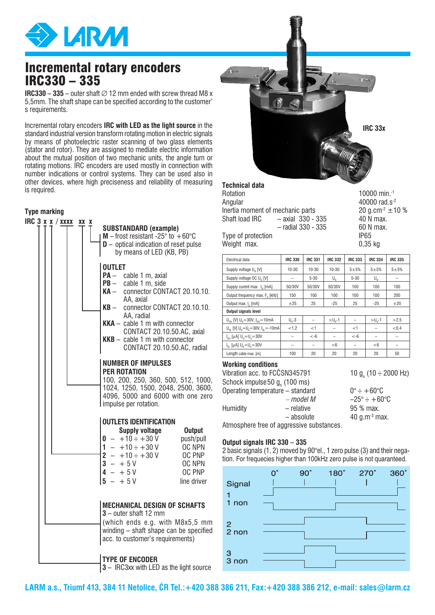

# Incremental rotary encoders IRC330 – 335

**IRC330 – 335 –** outer shaft  $\varnothing$  12 mm ended with screw thread M8 x 5,5mm. The shaft shape can be specified according to the customer' s requirements.

Incremental rotary encoders **IRC with LED as the light source** in the standard industrial version transform rotating motion in electric signals by means of photoelectric raster scanning of two glass elements (stator and rotor). They are assigned to mediate electric information about the mutual position of two mechanic units, the angle turn or rotating motions. IRC encoders are used mostly in connection with number indications or control systems. They can be used also in other devices, where high preciseness and reliability of measuring is required.

### **Type marking**





## **Technical data**

| Rotation                         |                      | 1000 |
|----------------------------------|----------------------|------|
| Angular                          |                      | 4000 |
| Inertia moment of mechanic parts | $20$ g.              |      |
| Shaft load IRC                   | $-$ axial 330 - 335  | 40 N |
|                                  | $-$ radial 330 - 335 | 60 N |
| Type of protection               | IP <sub>65</sub>     |      |

10000 min. $-1$ 40000 rad.s-2  $20$  g.cm $^{-2}$   $\pm$ 10 % 40 N max.  $60$  N max.

Weight max. 0.35 kg

| Electrical data                                                                     | <b>IRC 330</b> | <b>IRC 331</b> | <b>IRC 332</b> | <b>IRC 333</b> | <b>IRC 334</b>                                | <b>IRC 335</b> |
|-------------------------------------------------------------------------------------|----------------|----------------|----------------|----------------|-----------------------------------------------|----------------|
| Supply voltage U <sub>n</sub> [V]                                                   | 10-30          | 10-30          | $10 - 30$      | $5 + 5%$       | $5 + 5%$                                      | $5 + 5%$       |
| Supply voltage OC U <sub>o</sub> [V]                                                |                | $5 - 30$       | $\bigcup_{M}$  | $5 - 30$       | $\mathsf{U}_{\scriptscriptstyle{\mathrm{N}}}$ |                |
| Supply curent max. I. [mA]                                                          | 50/30V         | 50/30V         | 50/30V         | 100            | 100                                           | 100            |
| Output frequency max. F <sub>o</sub> [kHz]                                          | 150            | 100            | 100            | 100            | 100                                           | 200            |
| Output max. I [mA]                                                                  | ±25            | 25             | $-25$          | 25             | $-25$                                         | ±20            |
| Output signals level                                                                |                |                |                |                |                                               |                |
| $U_{\text{out}}$ [V] $U_{\text{in}} = 30V$ , $I_{\text{out}} = 10$ mA               | $U1 - 3$       |                | $> U_{N} - 1$  |                | $> U_{\rm u}$ -1                              | >2.5           |
| $U_{\text{on}}$ [V] $U_{\text{N}} = U_{\text{on}} = 30V$ , $I_{\text{on}} = -10$ mA | < 1.2          | $<$ 1          |                | $<$ 1          |                                               | < 0.4          |
| $I_{nH}$ [µA] $U_n = U_n = 30V$                                                     |                | $< -6$         |                | $< -6$         |                                               |                |
| $I_{n}$ [ $\mu$ A] $U_{n} = U_{n} = 30V$                                            |                |                | $<$ 6          | -              | < 6                                           |                |
| Length cable max. [m]                                                               | 100            | 20             | 20             | 20             | 20                                            | 50             |

### **Working conditions**

| Vibration acc. to FCČSN345791             |                                  | 10 g <sub>n</sub> (10 $\div$ 2000 Hz) |
|-------------------------------------------|----------------------------------|---------------------------------------|
| Schock impulse 50 g <sub>n</sub> (100 ms) |                                  |                                       |
|                                           | Operating temperature - standard | $0^\circ \div +60^\circ \text{C}$     |
|                                           | – model M                        | $-25^\circ \div +60^\circ \text{C}$   |
| <b>Humidity</b>                           | - relative                       | 95 % max.                             |
|                                           | - absolute                       | 40 g.m <sup>-3</sup> max.             |
| .                                         |                                  |                                       |

Atmosphere free of aggressive substances.

### **Output signals IRC 330 – 335**

2 basic signals (1, 2) moved by 90°el., 1 zero pulse (3) and their negation. For frequecies higher than 100kHz zero pulse is not quaranteed.